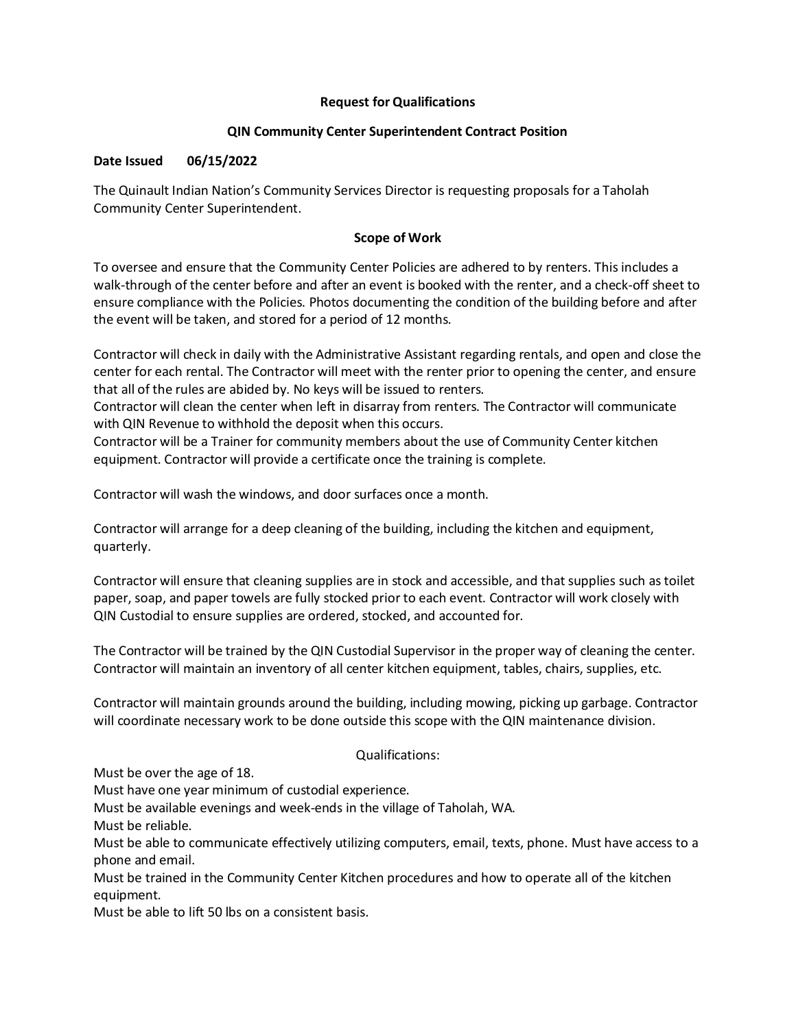# **Request for Qualifications**

# **QIN Community Center Superintendent Contract Position**

# **Date Issued 06/15/2022**

The Quinault Indian Nation's Community Services Director is requesting proposals for a Taholah Community Center Superintendent.

# **Scope of Work**

To oversee and ensure that the Community Center Policies are adhered to by renters. This includes a walk-through of the center before and after an event is booked with the renter, and a check-off sheet to ensure compliance with the Policies. Photos documenting the condition of the building before and after the event will be taken, and stored for a period of 12 months.

Contractor will check in daily with the Administrative Assistant regarding rentals, and open and close the center for each rental. The Contractor will meet with the renter prior to opening the center, and ensure that all of the rules are abided by. No keys will be issued to renters.

Contractor will clean the center when left in disarray from renters. The Contractor will communicate with QIN Revenue to withhold the deposit when this occurs.

Contractor will be a Trainer for community members about the use of Community Center kitchen equipment. Contractor will provide a certificate once the training is complete.

Contractor will wash the windows, and door surfaces once a month.

Contractor will arrange for a deep cleaning of the building, including the kitchen and equipment, quarterly.

Contractor will ensure that cleaning supplies are in stock and accessible, and that supplies such as toilet paper, soap, and paper towels are fully stocked prior to each event. Contractor will work closely with QIN Custodial to ensure supplies are ordered, stocked, and accounted for.

The Contractor will be trained by the QIN Custodial Supervisor in the proper way of cleaning the center. Contractor will maintain an inventory of all center kitchen equipment, tables, chairs, supplies, etc.

Contractor will maintain grounds around the building, including mowing, picking up garbage. Contractor will coordinate necessary work to be done outside this scope with the QIN maintenance division.

### Qualifications:

Must be over the age of 18.

Must have one year minimum of custodial experience.

Must be available evenings and week-ends in the village of Taholah, WA.

Must be reliable.

Must be able to communicate effectively utilizing computers, email, texts, phone. Must have access to a phone and email.

Must be trained in the Community Center Kitchen procedures and how to operate all of the kitchen equipment.

Must be able to lift 50 lbs on a consistent basis.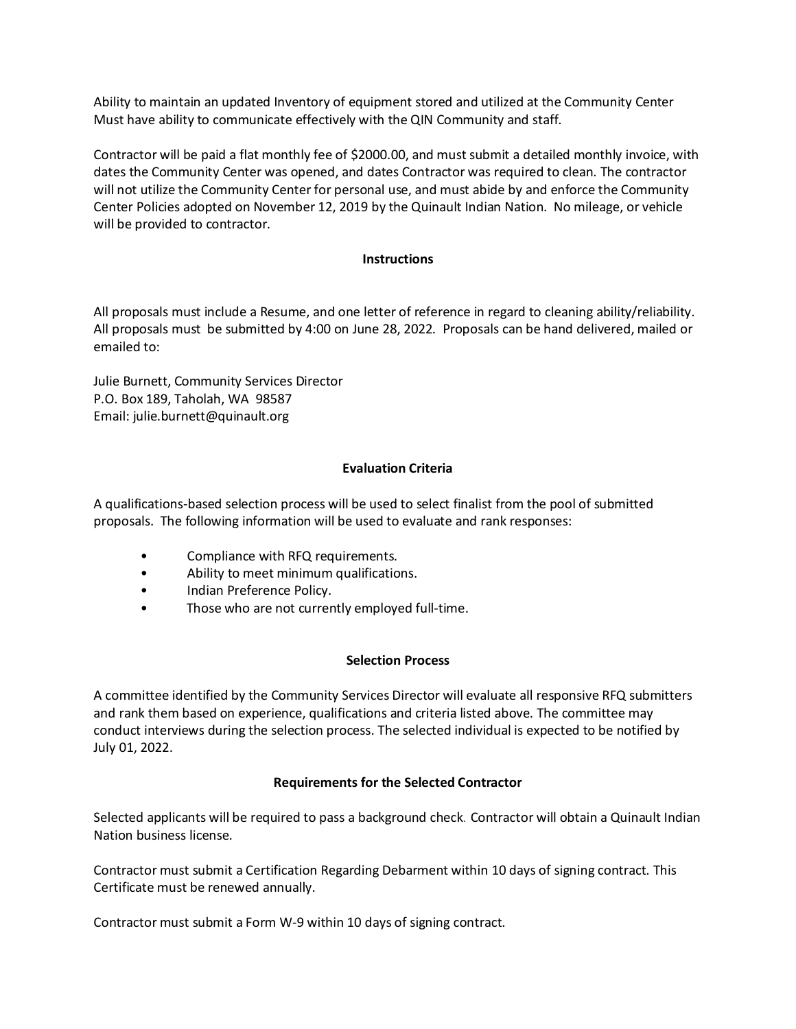Ability to maintain an updated Inventory of equipment stored and utilized at the Community Center Must have ability to communicate effectively with the QIN Community and staff.

Contractor will be paid a flat monthly fee of \$2000.00, and must submit a detailed monthly invoice, with dates the Community Center was opened, and dates Contractor was required to clean. The contractor will not utilize the Community Center for personal use, and must abide by and enforce the Community Center Policies adopted on November 12, 2019 by the Quinault Indian Nation. No mileage, or vehicle will be provided to contractor.

#### **Instructions**

All proposals must include a Resume, and one letter of reference in regard to cleaning ability/reliability. All proposals must be submitted by 4:00 on June 28, 2022. Proposals can be hand delivered, mailed or emailed to:

Julie Burnett, Community Services Director P.O. Box 189, Taholah, WA 98587 Email: julie.burnett@quinault.org

### **Evaluation Criteria**

A qualifications-based selection process will be used to select finalist from the pool of submitted proposals. The following information will be used to evaluate and rank responses:

- Compliance with RFQ requirements.
- Ability to meet minimum qualifications.
- Indian Preference Policy.
- Those who are not currently employed full-time.

### **Selection Process**

A committee identified by the Community Services Director will evaluate all responsive RFQ submitters and rank them based on experience, qualifications and criteria listed above. The committee may conduct interviews during the selection process. The selected individual is expected to be notified by July 01, 2022.

#### **Requirements for the Selected Contractor**

Selected applicants will be required to pass a background check. Contractor will obtain a Quinault Indian Nation business license.

Contractor must submit a Certification Regarding Debarment within 10 days of signing contract. This Certificate must be renewed annually.

Contractor must submit a Form W-9 within 10 days of signing contract.